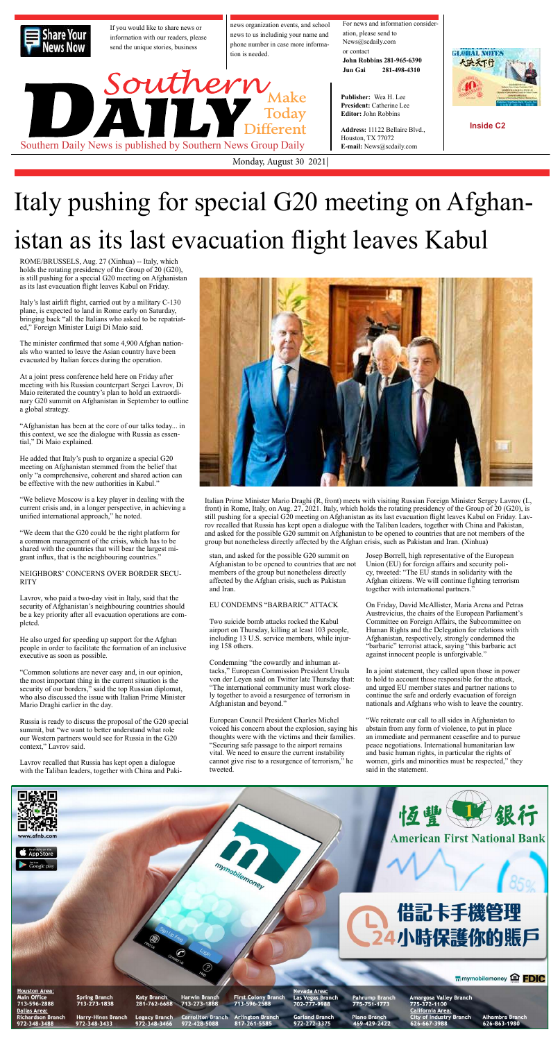# Italy pushing for special G20 meeting on Afghanistan as its last evacuation flight leaves Kabul



ROME/BRUSSELS, Aug. 27 (Xinhua) -- Italy, which holds the rotating presidency of the Group of 20 (G20), is still pushing for a special G20 meeting on Afghanistan as its last evacuation flight leaves Kabul on Friday.

Italy's last airlift flight, carried out by a military C-130 plane, is expected to land in Rome early on Saturday, bringing back "all the Italians who asked to be repatriated," Foreign Minister Luigi Di Maio said.

The minister confirmed that some 4,900 Afghan nationals who wanted to leave the Asian country have been evacuated by Italian forces during the operation.

At a joint press conference held here on Friday after meeting with his Russian counterpart Sergei Lavrov, Di Maio reiterated the country's plan to hold an extraordinary G20 summit on Afghanistan in September to outline a global strategy.

"Afghanistan has been at the core of our talks today... in this context, we see the dialogue with Russia as essential," Di Maio explained.

He added that Italy's push to organize a special G20 meeting on Afghanistan stemmed from the belief that only "a comprehensive, coherent and shared action can be effective with the new authorities in Kabul."

"We believe Moscow is a key player in dealing with the current crisis and, in a longer perspective, in achieving a unified international approach," he noted.

"We deem that the G20 could be the right platform for a common management of the crisis, which has to be shared with the countries that will bear the largest migrant influx, that is the neighbouring countries."

NEIGHBORS' CONCERNS OVER BORDER SECU-RITY



Lavrov, who paid a two-day visit in Italy, said that the security of Afghanistan's neighbouring countries should be a key priority after all evacuation operations are completed.

He also urged for speeding up support for the Afghan people in order to facilitate the formation of an inclusive executive as soon as possible.

"Common solutions are never easy and, in our opinion, the most important thing in the current situation is the security of our borders," said the top Russian diplomat, who also discussed the issue with Italian Prime Minister Mario Draghi earlier in the day.

Russia is ready to discuss the proposal of the G20 special summit, but "we want to better understand what role our Western partners would see for Russia in the G20 context," Lavrov said.

Lavrov recalled that Russia has kept open a dialogue with the Taliban leaders, together with China and Pakistan, and asked for the possible G20 summit on Afghanistan to be opened to countries that are not members of the group but nonetheless directly affected by the Afghan crisis, such as Pakistan and Iran.

### EU CONDEMNS "BARBARIC" ATTACK

Two suicide bomb attacks rocked the Kabul airport on Thursday, killing at least 103 people, including 13 U.S. service members, while injuring 158 others.

Condemning "the cowardly and inhuman attacks," European Commission President Ursula von der Leyen said on Twitter late Thursday that: "The international community must work closely together to avoid a resurgence of terrorism in Afghanistan and beyond."

European Council President Charles Michel voiced his concern about the explosion, saying his thoughts were with the victims and their families. "Securing safe passage to the airport remains vital. We need to ensure the current instability cannot give rise to a resurgence of terrorism," he tweeted.

Italian Prime Minister Mario Draghi (R, front) meets with visiting Russian Foreign Minister Sergey Lavrov (L, front) in Rome, Italy, on Aug. 27, 2021. Italy, which holds the rotating presidency of the Group of 20 (G20), is still pushing for a special G20 meeting on Afghanistan as its last evacuation flight leaves Kabul on Friday. Lavrov recalled that Russia has kept open a dialogue with the Taliban leaders, together with China and Pakistan, and asked for the possible G20 summit on Afghanistan to be opened to countries that are not members of the group but nonetheless directly affected by the Afghan crisis, such as Pakistan and Iran. (Xinhua)

> Josep Borrell, high representative of the European Union (EU) for foreign affairs and security policy, tweeted: "The EU stands in solidarity with the Afghan citizens. We will continue fighting terrorism together with international partners."

On Friday, David McAllister, Maria Arena and Petras Austrevicius, the chairs of the European Parliament's Committee on Foreign Affairs, the Subcommittee on Human Rights and the Delegation for relations with Afghanistan, respectively, strongly condemned the "barbaric" terrorist attack, saying "this barbaric act against innocent people is unforgivable."

In a joint statement, they called upon those in power to hold to account those responsible for the attack, and urged EU member states and partner nations to continue the safe and orderly evacuation of foreign nationals and Afghans who wish to leave the country.

"We reiterate our call to all sides in Afghanistan to abstain from any form of violence, to put in place an immediate and permanent ceasefire and to pursue peace negotiations. International humanitarian law and basic human rights, in particular the rights of women, girls and minorities must be respected," they said in the statement.

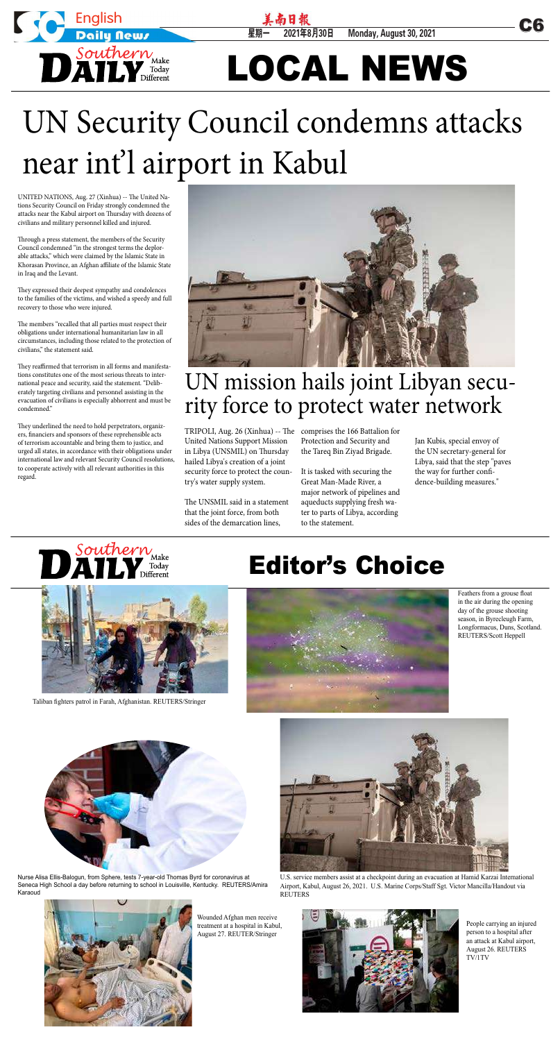星期一 2021年8月30日 Monday, August 30, 2021



# LOCAL NEWS

UNITED NATIONS, Aug. 27 (Xinhua) -- The United Nations Security Council on Friday strongly condemned the attacks near the Kabul airport on Thursday with dozens of civilians and military personnel killed and injured.

Through a press statement, the members of the Security Council condemned "in the strongest terms the deplorable attacks," which were claimed by the Islamic State in Khorasan Province, an Afghan affiliate of the Islamic State in Iraq and the Levant.

They expressed their deepest sympathy and condolences to the families of the victims, and wished a speedy and full recovery to those who were injured.

The members "recalled that all parties must respect their obligations under international humanitarian law in all circumstances, including those related to the protection of civilians," the statement said.

They reaffirmed that terrorism in all forms and manifestations constitutes one of the most serious threats to international peace and security, said the statement. "Deliberately targeting civilians and personnel assisting in the evacuation of civilians is especially abhorrent and must be condemned."



U.S. service members assist at a checkpoint during an evacuation at Hamid Karzai International Airport, Kabul, August 26, 2021. U.S. Marine Corps/Staff Sgt. Victor Mancilla/Handout via **REUTERS** 

They underlined the need to hold perpetrators, organizers, financiers and sponsors of these reprehensible acts of terrorism accountable and bring them to justice, and urged all states, in accordance with their obligations under international law and relevant Security Council resolutions, to cooperate actively with all relevant authorities in this regard.



# UN Security Council condemns attacks near int'l airport in Kabul

## UN mission hails joint Libyan secu rity force to protect water network

TRIPOLI, Aug. 26 (Xinhua) -- The comprises the 166 Battalion for United Nations Support Mission in Libya (UNSMIL) on Thursday hailed Libya's creation of a joint security force to protect the country's water supply system.

The UNSMIL said in a statement that the joint force, from both sides of the demarcation lines,

Protection and Security and the Tareq Bin Ziyad Brigade.

It is tasked with securing the Great Man-Made River, a major network of pipelines and aqueducts supplying fresh water to parts of Libya, according to the statement.

Jan Kubis, special envoy of the UN secretary-general for Libya, said that the step "paves the way for further confidence-building measures."



## Editor's Choice



Taliban fighters patrol in Farah, Afghanistan. REUTERS/Stringer





in the air during the opening day of the grouse shooting season, in Byrecleugh Farm, Longformacus, Duns, Scotland. REUTERS/Scott Heppell



Wounded Afghan men receive treatment at a hospital in Kabul, August 27. REUTER/Stringer



People carrying an injured person to a hospital after an attack at Kabul airport, August 26. REUTERS TV/1TV